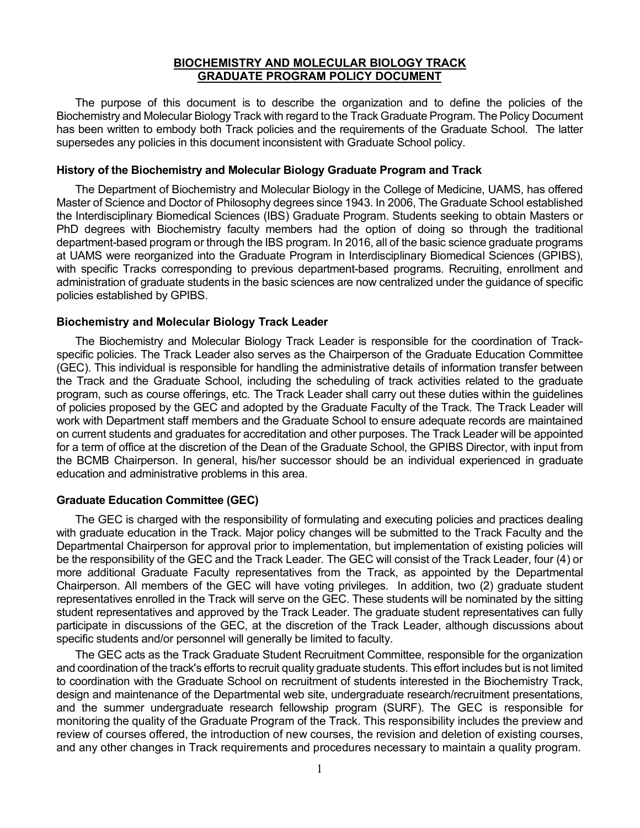#### **BIOCHEMISTRY AND MOLECULAR BIOLOGY TRACK GRADUATE PROGRAM POLICY DOCUMENT**

The purpose of this document is to describe the organization and to define the policies of the Biochemistry and Molecular Biology Track with regard to the Track Graduate Program. The Policy Document has been written to embody both Track policies and the requirements of the Graduate School. The latter supersedes any policies in this document inconsistent with Graduate School policy.

### **History of the Biochemistry and Molecular Biology Graduate Program and Track**

The Department of Biochemistry and Molecular Biology in the College of Medicine, UAMS, has offered Master of Science and Doctor of Philosophy degrees since 1943. In 2006, The Graduate School established the Interdisciplinary Biomedical Sciences (IBS) Graduate Program. Students seeking to obtain Masters or PhD degrees with Biochemistry faculty members had the option of doing so through the traditional department-based program or through the IBS program. In 2016, all of the basic science graduate programs at UAMS were reorganized into the Graduate Program in Interdisciplinary Biomedical Sciences (GPIBS), with specific Tracks corresponding to previous department-based programs. Recruiting, enrollment and administration of graduate students in the basic sciences are now centralized under the guidance of specific policies established by GPIBS.

### **Biochemistry and Molecular Biology Track Leader**

The Biochemistry and Molecular Biology Track Leader is responsible for the coordination of Trackspecific policies. The Track Leader also serves as the Chairperson of the Graduate Education Committee (GEC). This individual is responsible for handling the administrative details of information transfer between the Track and the Graduate School, including the scheduling of track activities related to the graduate program, such as course offerings, etc. The Track Leader shall carry out these duties within the guidelines of policies proposed by the GEC and adopted by the Graduate Faculty of the Track. The Track Leader will work with Department staff members and the Graduate School to ensure adequate records are maintained on current students and graduates for accreditation and other purposes. The Track Leader will be appointed for a term of office at the discretion of the Dean of the Graduate School, the GPIBS Director, with input from the BCMB Chairperson. In general, his/her successor should be an individual experienced in graduate education and administrative problems in this area.

#### **Graduate Education Committee (GEC)**

The GEC is charged with the responsibility of formulating and executing policies and practices dealing with graduate education in the Track. Major policy changes will be submitted to the Track Faculty and the Departmental Chairperson for approval prior to implementation, but implementation of existing policies will be the responsibility of the GEC and the Track Leader. The GEC will consist of the Track Leader, four (4) or more additional Graduate Faculty representatives from the Track, as appointed by the Departmental Chairperson. All members of the GEC will have voting privileges. In addition, two (2) graduate student representatives enrolled in the Track will serve on the GEC. These students will be nominated by the sitting student representatives and approved by the Track Leader. The graduate student representatives can fully participate in discussions of the GEC, at the discretion of the Track Leader, although discussions about specific students and/or personnel will generally be limited to faculty.

The GEC acts as the Track Graduate Student Recruitment Committee, responsible for the organization and coordination of the track's efforts to recruit quality graduate students. This effort includes but is not limited to coordination with the Graduate School on recruitment of students interested in the Biochemistry Track, design and maintenance of the Departmental web site, undergraduate research/recruitment presentations, and the summer undergraduate research fellowship program (SURF). The GEC is responsible for monitoring the quality of the Graduate Program of the Track. This responsibility includes the preview and review of courses offered, the introduction of new courses, the revision and deletion of existing courses, and any other changes in Track requirements and procedures necessary to maintain a quality program.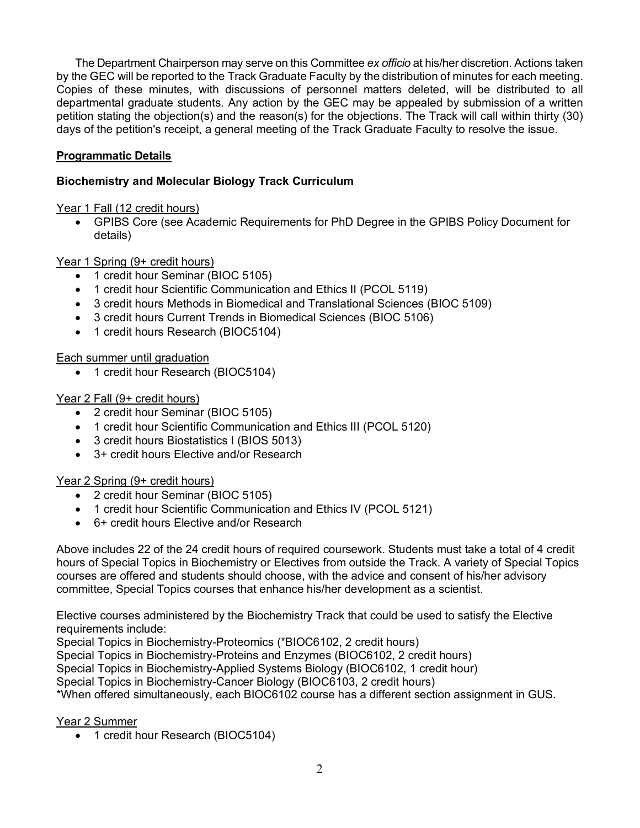The Department Chairperson may serve on this Committee *ex officio* at his/her discretion. Actions taken by the GEC will be reported to the Track Graduate Faculty by the distribution of minutes for each meeting. Copies of these minutes, with discussions of personnel matters deleted, will be distributed to all departmental graduate students. Any action by the GEC may be appealed by submission of a written petition stating the objection(s) and the reason(s) for the objections. The Track will call within thirty (30) days of the petition's receipt, a general meeting of the Track Graduate Faculty to resolve the issue.

# **Programmatic Details**

# **Biochemistry and Molecular Biology Track Curriculum**

Year 1 Fall (12 credit hours)

• GPIBS Core (see Academic Requirements for PhD Degree in the GPIBS Policy Document for details)

Year 1 Spring (9+ credit hours)

- 1 credit hour Seminar (BIOC 5105)
- 1 credit hour Scientific Communication and Ethics II (PCOL 5119)
- 3 credit hours Methods in Biomedical and Translational Sciences (BIOC 5109)
- 3 credit hours Current Trends in Biomedical Sciences (BIOC 5106)
- 1 credit hours Research (BIOC5104)

Each summer until graduation

• 1 credit hour Research (BIOC5104)

# Year 2 Fall (9+ credit hours)

- 2 credit hour Seminar (BIOC 5105)
- 1 credit hour Scientific Communication and Ethics III (PCOL 5120)
- 3 credit hours Biostatistics I (BIOS 5013)
- 3+ credit hours Elective and/or Research

Year 2 Spring (9+ credit hours)

- 2 credit hour Seminar (BIOC 5105)
- 1 credit hour Scientific Communication and Ethics IV (PCOL 5121)
- 6+ credit hours Elective and/or Research

Above includes 22 of the 24 credit hours of required coursework. Students must take a total of 4 credit hours of Special Topics in Biochemistry or Electives from outside the Track. A variety of Special Topics courses are offered and students should choose, with the advice and consent of his/her advisory committee, Special Topics courses that enhance his/her development as a scientist.

Elective courses administered by the Biochemistry Track that could be used to satisfy the Elective requirements include:

Special Topics in Biochemistry-Proteomics (\*BIOC6102, 2 credit hours)

Special Topics in Biochemistry-Proteins and Enzymes (BIOC6102, 2 credit hours)

Special Topics in Biochemistry-Applied Systems Biology (BIOC6102, 1 credit hour)

Special Topics in Biochemistry-Cancer Biology (BIOC6103, 2 credit hours)

\*When offered simultaneously, each BIOC6102 course has a different section assignment in GUS.

Year 2 Summer

• 1 credit hour Research (BIOC5104)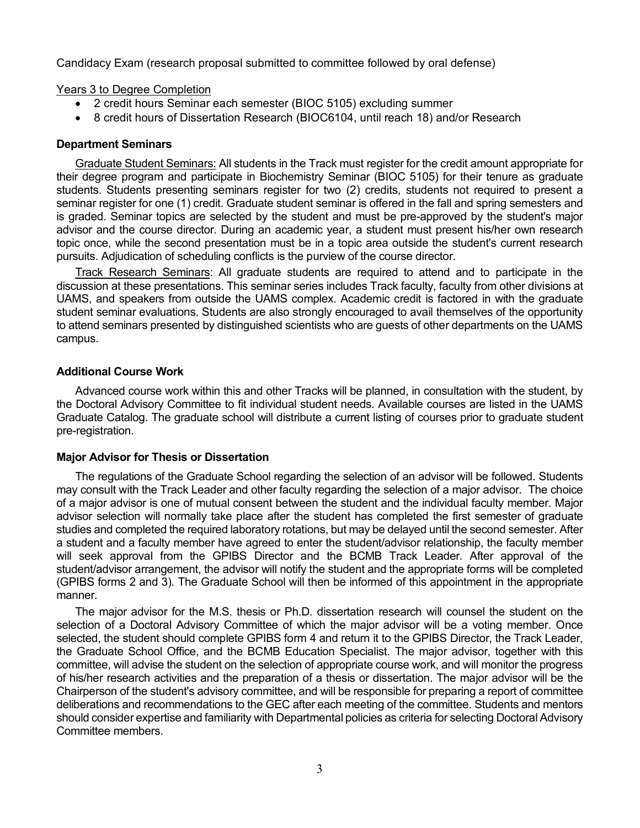Candidacy Exam (research proposal submitted to committee followed by oral defense)

Years 3 to Degree Completion

- 2 credit hours Seminar each semester (BIOC 5105) excluding summer
- 8 credit hours of Dissertation Research (BIOC6104, until reach 18) and/or Research

# **Department Seminars**

Graduate Student Seminars: All students in the Track must register for the credit amount appropriate for their degree program and participate in Biochemistry Seminar (BIOC 5105) for their tenure as graduate students. Students presenting seminars register for two (2) credits, students not required to present a seminar register for one (1) credit. Graduate student seminar is offered in the fall and spring semesters and is graded. Seminar topics are selected by the student and must be pre-approved by the student's major advisor and the course director. During an academic year, a student must present his/her own research topic once, while the second presentation must be in a topic area outside the student's current research pursuits. Adjudication of scheduling conflicts is the purview of the course director.

Track Research Seminars: All graduate students are required to attend and to participate in the discussion at these presentations. This seminar series includes Track faculty, faculty from other divisions at UAMS, and speakers from outside the UAMS complex. Academic credit is factored in with the graduate student seminar evaluations. Students are also strongly encouraged to avail themselves of the opportunity to attend seminars presented by distinguished scientists who are guests of other departments on the UAMS campus.

# **Additional Course Work**

Advanced course work within this and other Tracks will be planned, in consultation with the student, by the Doctoral Advisory Committee to fit individual student needs. Available courses are listed in the UAMS Graduate Catalog. The graduate school will distribute a current listing of courses prior to graduate student pre-registration.

# **Major Advisor for Thesis or Dissertation**

The regulations of the Graduate School regarding the selection of an advisor will be followed. Students may consult with the Track Leader and other faculty regarding the selection of a major advisor. The choice of a major advisor is one of mutual consent between the student and the individual faculty member. Major advisor selection will normally take place after the student has completed the first semester of graduate studies and completed the required laboratory rotations, but may be delayed until the second semester. After a student and a faculty member have agreed to enter the student/advisor relationship, the faculty member will seek approval from the GPIBS Director and the BCMB Track Leader. After approval of the student/advisor arrangement, the advisor will notify the student and the appropriate forms will be completed (GPIBS forms 2 and 3). The Graduate School will then be informed of this appointment in the appropriate manner.

The major advisor for the M.S. thesis or Ph.D. dissertation research will counsel the student on the selection of a Doctoral Advisory Committee of which the major advisor will be a voting member. Once selected, the student should complete GPIBS form 4 and return it to the GPIBS Director, the Track Leader, the Graduate School Office, and the BCMB Education Specialist. The major advisor, together with this committee, will advise the student on the selection of appropriate course work, and will monitor the progress of his/her research activities and the preparation of a thesis or dissertation. The major advisor will be the Chairperson of the student's advisory committee, and will be responsible for preparing a report of committee deliberations and recommendations to the GEC after each meeting of the committee. Students and mentors should consider expertise and familiarity with Departmental policies as criteria for selecting Doctoral Advisory Committee members.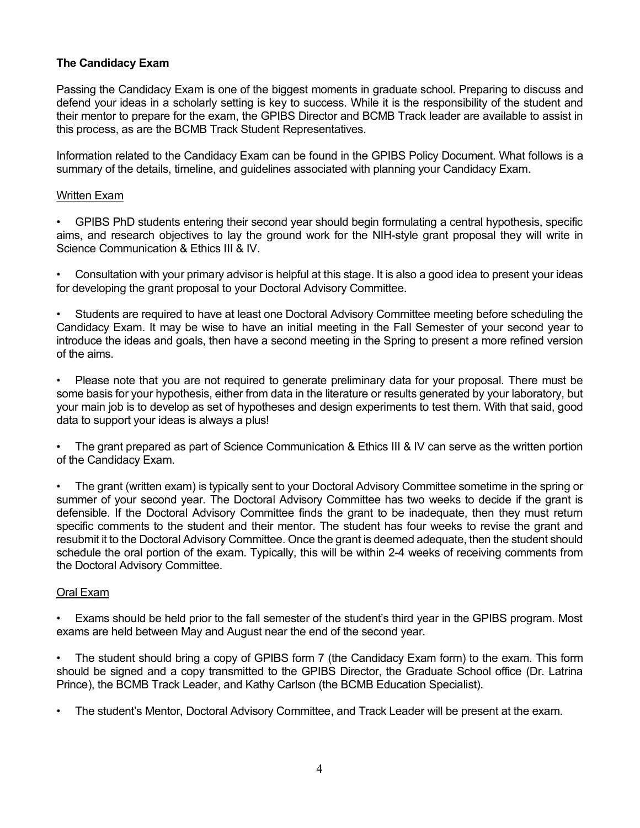# **The Candidacy Exam**

Passing the Candidacy Exam is one of the biggest moments in graduate school. Preparing to discuss and defend your ideas in a scholarly setting is key to success. While it is the responsibility of the student and their mentor to prepare for the exam, the GPIBS Director and BCMB Track leader are available to assist in this process, as are the BCMB Track Student Representatives.

Information related to the Candidacy Exam can be found in the GPIBS Policy Document. What follows is a summary of the details, timeline, and guidelines associated with planning your Candidacy Exam.

# Written Exam

• GPIBS PhD students entering their second year should begin formulating a central hypothesis, specific aims, and research objectives to lay the ground work for the NIH-style grant proposal they will write in Science Communication & Ethics III & IV.

• Consultation with your primary advisor is helpful at this stage. It is also a good idea to present your ideas for developing the grant proposal to your Doctoral Advisory Committee.

• Students are required to have at least one Doctoral Advisory Committee meeting before scheduling the Candidacy Exam. It may be wise to have an initial meeting in the Fall Semester of your second year to introduce the ideas and goals, then have a second meeting in the Spring to present a more refined version of the aims.

• Please note that you are not required to generate preliminary data for your proposal. There must be some basis for your hypothesis, either from data in the literature or results generated by your laboratory, but your main job is to develop as set of hypotheses and design experiments to test them. With that said, good data to support your ideas is always a plus!

• The grant prepared as part of Science Communication & Ethics III & IV can serve as the written portion of the Candidacy Exam.

• The grant (written exam) is typically sent to your Doctoral Advisory Committee sometime in the spring or summer of your second year. The Doctoral Advisory Committee has two weeks to decide if the grant is defensible. If the Doctoral Advisory Committee finds the grant to be inadequate, then they must return specific comments to the student and their mentor. The student has four weeks to revise the grant and resubmit it to the Doctoral Advisory Committee. Once the grant is deemed adequate, then the student should schedule the oral portion of the exam. Typically, this will be within 2-4 weeks of receiving comments from the Doctoral Advisory Committee.

# Oral Exam

• Exams should be held prior to the fall semester of the student's third year in the GPIBS program. Most exams are held between May and August near the end of the second year.

• The student should bring a copy of GPIBS form 7 (the Candidacy Exam form) to the exam. This form should be signed and a copy transmitted to the GPIBS Director, the Graduate School office (Dr. Latrina Prince), the BCMB Track Leader, and Kathy Carlson (the BCMB Education Specialist).

• The student's Mentor, Doctoral Advisory Committee, and Track Leader will be present at the exam.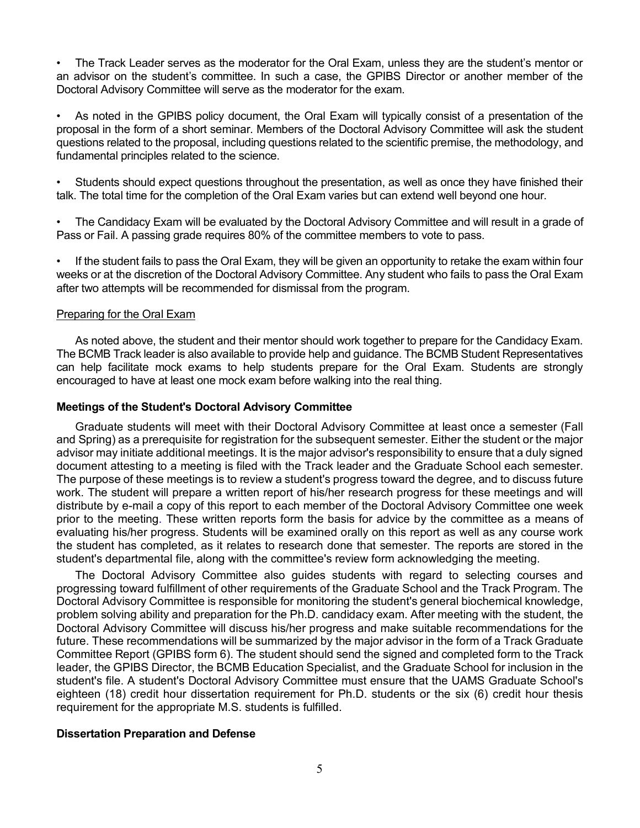• The Track Leader serves as the moderator for the Oral Exam, unless they are the student's mentor or an advisor on the student's committee. In such a case, the GPIBS Director or another member of the Doctoral Advisory Committee will serve as the moderator for the exam.

As noted in the GPIBS policy document, the Oral Exam will typically consist of a presentation of the proposal in the form of a short seminar. Members of the Doctoral Advisory Committee will ask the student questions related to the proposal, including questions related to the scientific premise, the methodology, and fundamental principles related to the science.

• Students should expect questions throughout the presentation, as well as once they have finished their talk. The total time for the completion of the Oral Exam varies but can extend well beyond one hour.

• The Candidacy Exam will be evaluated by the Doctoral Advisory Committee and will result in a grade of Pass or Fail. A passing grade requires 80% of the committee members to vote to pass.

• If the student fails to pass the Oral Exam, they will be given an opportunity to retake the exam within four weeks or at the discretion of the Doctoral Advisory Committee. Any student who fails to pass the Oral Exam after two attempts will be recommended for dismissal from the program.

# Preparing for the Oral Exam

As noted above, the student and their mentor should work together to prepare for the Candidacy Exam. The BCMB Track leader is also available to provide help and guidance. The BCMB Student Representatives can help facilitate mock exams to help students prepare for the Oral Exam. Students are strongly encouraged to have at least one mock exam before walking into the real thing.

### **Meetings of the Student's Doctoral Advisory Committee**

Graduate students will meet with their Doctoral Advisory Committee at least once a semester (Fall and Spring) as a prerequisite for registration for the subsequent semester. Either the student or the major advisor may initiate additional meetings. It is the major advisor's responsibility to ensure that a duly signed document attesting to a meeting is filed with the Track leader and the Graduate School each semester. The purpose of these meetings is to review a student's progress toward the degree, and to discuss future work. The student will prepare a written report of his/her research progress for these meetings and will distribute by e-mail a copy of this report to each member of the Doctoral Advisory Committee one week prior to the meeting. These written reports form the basis for advice by the committee as a means of evaluating his/her progress. Students will be examined orally on this report as well as any course work the student has completed, as it relates to research done that semester. The reports are stored in the student's departmental file, along with the committee's review form acknowledging the meeting.

The Doctoral Advisory Committee also guides students with regard to selecting courses and progressing toward fulfillment of other requirements of the Graduate School and the Track Program. The Doctoral Advisory Committee is responsible for monitoring the student's general biochemical knowledge, problem solving ability and preparation for the Ph.D. candidacy exam. After meeting with the student, the Doctoral Advisory Committee will discuss his/her progress and make suitable recommendations for the future. These recommendations will be summarized by the major advisor in the form of a Track Graduate Committee Report (GPIBS form 6). The student should send the signed and completed form to the Track leader, the GPIBS Director, the BCMB Education Specialist, and the Graduate School for inclusion in the student's file. A student's Doctoral Advisory Committee must ensure that the UAMS Graduate School's eighteen (18) credit hour dissertation requirement for Ph.D. students or the six (6) credit hour thesis requirement for the appropriate M.S. students is fulfilled.

# **Dissertation Preparation and Defense**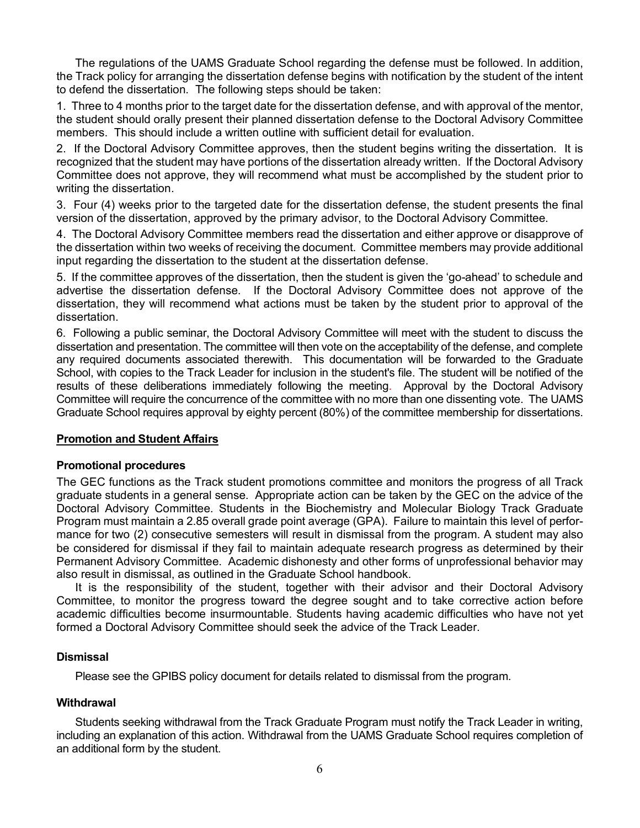The regulations of the UAMS Graduate School regarding the defense must be followed. In addition, the Track policy for arranging the dissertation defense begins with notification by the student of the intent to defend the dissertation. The following steps should be taken:

1. Three to 4 months prior to the target date for the dissertation defense, and with approval of the mentor, the student should orally present their planned dissertation defense to the Doctoral Advisory Committee members. This should include a written outline with sufficient detail for evaluation.

2. If the Doctoral Advisory Committee approves, then the student begins writing the dissertation. It is recognized that the student may have portions of the dissertation already written. If the Doctoral Advisory Committee does not approve, they will recommend what must be accomplished by the student prior to writing the dissertation.

3. Four (4) weeks prior to the targeted date for the dissertation defense, the student presents the final version of the dissertation, approved by the primary advisor, to the Doctoral Advisory Committee.

4. The Doctoral Advisory Committee members read the dissertation and either approve or disapprove of the dissertation within two weeks of receiving the document. Committee members may provide additional input regarding the dissertation to the student at the dissertation defense.

5. If the committee approves of the dissertation, then the student is given the 'go-ahead' to schedule and advertise the dissertation defense. If the Doctoral Advisory Committee does not approve of the dissertation, they will recommend what actions must be taken by the student prior to approval of the dissertation.

6. Following a public seminar, the Doctoral Advisory Committee will meet with the student to discuss the dissertation and presentation. The committee will then vote on the acceptability of the defense, and complete any required documents associated therewith. This documentation will be forwarded to the Graduate School, with copies to the Track Leader for inclusion in the student's file. The student will be notified of the results of these deliberations immediately following the meeting. Approval by the Doctoral Advisory Committee will require the concurrence of the committee with no more than one dissenting vote. The UAMS Graduate School requires approval by eighty percent (80%) of the committee membership for dissertations.

# **Promotion and Student Affairs**

# **Promotional procedures**

The GEC functions as the Track student promotions committee and monitors the progress of all Track graduate students in a general sense. Appropriate action can be taken by the GEC on the advice of the Doctoral Advisory Committee. Students in the Biochemistry and Molecular Biology Track Graduate Program must maintain a 2.85 overall grade point average (GPA). Failure to maintain this level of performance for two (2) consecutive semesters will result in dismissal from the program. A student may also be considered for dismissal if they fail to maintain adequate research progress as determined by their Permanent Advisory Committee. Academic dishonesty and other forms of unprofessional behavior may also result in dismissal, as outlined in the Graduate School handbook.

It is the responsibility of the student, together with their advisor and their Doctoral Advisory Committee, to monitor the progress toward the degree sought and to take corrective action before academic difficulties become insurmountable. Students having academic difficulties who have not yet formed a Doctoral Advisory Committee should seek the advice of the Track Leader.

# **Dismissal**

Please see the GPIBS policy document for details related to dismissal from the program.

# **Withdrawal**

Students seeking withdrawal from the Track Graduate Program must notify the Track Leader in writing, including an explanation of this action. Withdrawal from the UAMS Graduate School requires completion of an additional form by the student.